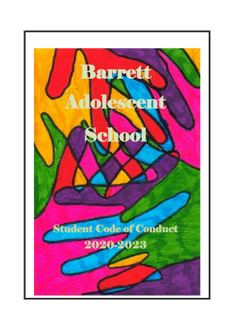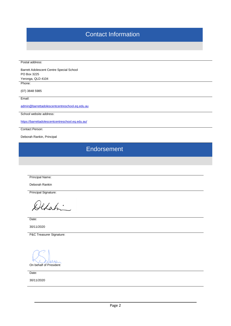# Contact Information

Postal address:

Barrett Adolescent Centre Special School PO Box 3225 Yeronga, QLD 4104

Phone:

(07) 3848 5985

Email:

[admin@barrettadolescentcentreschool.eq.edu.au](mailto:admin@barrettadolescentcentreschool.eq.edu.au)

School website address:

<https://barrettadolescentcentreschool.eq.edu.au/>

Contact Person:

Deborah Rankin, Principal

**Endorsement** 

Principal Name:

Deborah Rankin

Principal Signature:

Defahi

Date:

30/11/2020

P&C Treasurer Signature:

 $1110$ On behalf of President

Date:

30/11/2020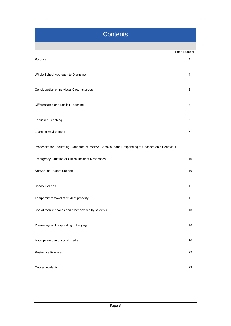# **Contents**

|                                                                                                     | Page Number |
|-----------------------------------------------------------------------------------------------------|-------------|
| Purpose                                                                                             | 4           |
| Whole School Approach to Discipline                                                                 | 4           |
| <b>Consideration of Individual Circumstances</b>                                                    | 6           |
| Differentiated and Explicit Teaching                                                                | 6           |
| Focussed Teaching                                                                                   | 7           |
| Learning Environment                                                                                | 7           |
| Processes for Facilitating Standards of Positive Behaviour and Responding to Unacceptable Behaviour | 8           |
| <b>Emergency Situation or Critical Incident Responses</b>                                           | 10          |
| Network of Student Support                                                                          | 10          |
| <b>School Policies</b>                                                                              | 11          |
| Temporary removal of student property                                                               | 11          |
| Use of mobile phones and other devices by students                                                  | 13          |
| Preventing and responding to bullying                                                               | $16\,$      |
| Appropriate use of social media                                                                     | 20          |
| <b>Restrictive Practices</b>                                                                        | 22          |
| <b>Critical Incidents</b>                                                                           | 23          |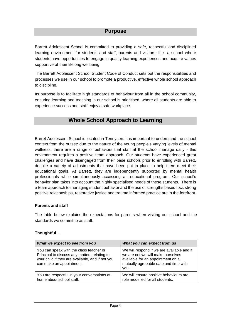### **Purpose**

Barrett Adolescent School is committed to providing a safe, respectful and disciplined learning environment for students and staff, parents and visitors. It is a school where students have opportunities to engage in quality learning experiences and acquire values supportive of their lifelong wellbeing.

The Barrett Adolescent School Student Code of Conduct sets out the responsibilities and processes we use in our school to promote a productive, effective whole school approach to discipline.

Its purpose is to facilitate high standards of behaviour from all in the school community, ensuring learning and teaching in our school is prioritised, where all students are able to experience success and staff enjoy a safe workplace.

### **Whole School Approach to Learning**

Barret Adolescent School is located in Tennyson. It is important to understand the school context from the outset: due to the nature of the young people's varying levels of mental wellness, there are a range of behaviors that staff at the school manage daily - this environment requires a positive team approach. Our students have experienced great challenges and have disengaged from their base schools prior to enrolling with Barrett, despite a variety of adjustments that have been put in place to help them meet their educational goals. At Barrett, they are independently supported by mental health professionals while simultaneously accessing an educational program. Our school's behavior plan takes into account the highly specialised needs of these students. There is a team approach to managing student behavior and the use of strengths based foci, strong positive relationships, restorative justice and trauma informed practice are in the forefront.

#### **Parents and staff**

The table below explains the expectations for parents when visiting our school and the standards we commit to as staff.

#### **Thoughtful ...**

| What we expect to see from you                                                                                                                                          | What you can expect from us                                                                                                                                           |
|-------------------------------------------------------------------------------------------------------------------------------------------------------------------------|-----------------------------------------------------------------------------------------------------------------------------------------------------------------------|
| You can speak with the class teacher or<br>Principal to discuss any matters relating to<br>your child if they are available, and if not you<br>can make an appointment. | We will respond if we are available and if<br>we are not we will make ourselves<br>available for an appointment on a<br>mutually agreeable date and time with<br>you. |
| You are respectful in your conversations at<br>home about school staff.                                                                                                 | We will ensure positive behaviours are<br>role modelled for all students.                                                                                             |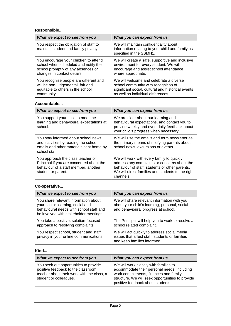### **Responsible...**

| What we expect to see from you                                                 | What you can expect from us                                                                                           |
|--------------------------------------------------------------------------------|-----------------------------------------------------------------------------------------------------------------------|
| You respect the obligation of staff to<br>maintain student and family privacy. | We will maintain confidentiality about<br>information relating to your child and family as<br>specified in the SSMH1. |
| You encourage your children to attend                                          | We will create a safe, supportive and inclusive                                                                       |
| school when scheduled and notify the                                           | environment for every student. We will                                                                                |
| school promptly of any absences or                                             | encourage and assist school attendance                                                                                |
| changes in contact details.                                                    | where appropriate.                                                                                                    |
| You recognise people are different and                                         | We will welcome and celebrate a diverse                                                                               |
| will be non-judgemental, fair and                                              | school community with recognition of                                                                                  |
| equitable to others in the school                                              | significant social, cultural and historical events                                                                    |
| community.                                                                     | as well as individual differences.                                                                                    |

#### **Accountable...**

| What we expect to see from you                                                                                                              | What you can expect from us                                                                                                                                                                                   |
|---------------------------------------------------------------------------------------------------------------------------------------------|---------------------------------------------------------------------------------------------------------------------------------------------------------------------------------------------------------------|
| You support your child to meet the<br>learning and behavioural expectations at<br>school.                                                   | We are clear about our learning and<br>behavioural expectations, and contact you to<br>provide weekly and even daily feedback about<br>your child's progress when necessary.                                  |
| You stay informed about school news<br>and activities by reading the school<br>emails and other materials sent home by<br>school staff.     | We will use the emails and term newsletter as<br>the primary means of notifying parents about<br>school news, excursions or events.                                                                           |
| You approach the class teacher or<br>Principal if you are concerned about the<br>behaviour of a staff member, another<br>student or parent. | We will work with every family to quickly<br>address any complaints or concerns about the<br>behaviour of staff, students or other parents.<br>We will direct families and students to the right<br>channels. |

### **Co-operative...**

| What we expect to see from you                                                                                                                                 | What you can expect from us                                                                                                         |
|----------------------------------------------------------------------------------------------------------------------------------------------------------------|-------------------------------------------------------------------------------------------------------------------------------------|
| You share relevant information about<br>your child's learning, social and<br>behavioural needs with school staff and<br>be involved with stakeholder meetings. | We will share relevant information with you<br>about your child's learning, personal, social<br>and behavioural progress at school. |
| You take a positive, solution-focused<br>approach to resolving complaints.                                                                                     | The Principal will help you to work to resolve a<br>school related complaint.                                                       |
| You respect school, student and staff<br>privacy in your online communications.                                                                                | We will act quickly to address social media<br>issues that affect staff, students or families<br>and keep families informed.        |

#### **Kind...**

| What we expect to see from you                                                                                                                      | What you can expect from us                                                                                                                                                                                            |
|-----------------------------------------------------------------------------------------------------------------------------------------------------|------------------------------------------------------------------------------------------------------------------------------------------------------------------------------------------------------------------------|
| You seek out opportunities to provide<br>positive feedback to the classroom<br>teacher about their work with the class, a<br>student or colleagues. | We will work closely with families to<br>accommodate their personal needs, including<br>work commitments, finances and family<br>structure. We will seek opportunities to provide<br>positive feedback about students. |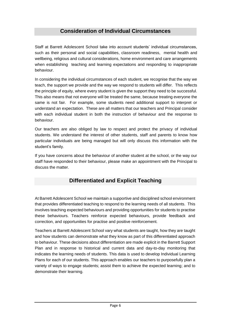## **Consideration of Individual Circumstances**

Staff at Barrett Adolescent School take into account students' individual circumstances, such as their personal and social capabilities, classroom readiness, mental health and wellbeing, religious and cultural considerations, home environment and care arrangements when establishing teaching and learning expectations and responding to inappropriate behaviour.

In considering the individual circumstances of each student, we recognise that the way we teach, the support we provide and the way we respond to students will differ. This reflects the principle of equity, where every student is given the support they need to be successful. This also means that not everyone will be treated the same, because treating everyone the same is not fair. For example, some students need additional support to interpret or understand an expectation. These are all matters that our teachers and Principal consider with each individual student in both the instruction of behaviour and the response to behaviour.

Our teachers are also obliged by law to respect and protect the privacy of individual students. We understand the interest of other students, staff and parents to know how particular individuals are being managed but will only discuss this information with the student's family.

If you have concerns about the behaviour of another student at the school, or the way our staff have responded to their behaviour, please make an appointment with the Principal to discuss the matter.

## **Differentiated and Explicit Teaching**

At Barrett Adolescent School we maintain a supportive and disciplined school environment that provides differentiated teaching to respond to the learning needs of all students. This involves teaching expected behaviours and providing opportunities for students to practise these behaviours. Teachers reinforce expected behaviours, provide feedback and correction, and opportunities for practise and positive reinforcement.

Teachers at Barrett Adolescent School vary what students are taught, how they are taught and how students can demonstrate what they know as part of this differentiated approach to behaviour. These decisions about differentiation are made explicit in the Barrett Support Plan and in response to historical and current data and day-to-day monitoring that indicates the learning needs of students. This data is used to develop Individual Learning Plans for each of our students. This approach enables our teachers to purposefully plan a variety of ways to engage students; assist them to achieve the expected learning; and to demonstrate their learning.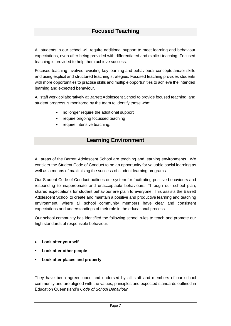# **Focused Teaching**

All students in our school will require additional support to meet learning and behaviour expectations, even after being provided with differentiated and explicit teaching. Focused teaching is provided to help them achieve success.

Focused teaching involves revisiting key learning and behavioural concepts and/or skills and using explicit and structured teaching strategies. Focused teaching provides students with more opportunities to practise skills and multiple opportunities to achieve the intended learning and expected behaviour.

All staff work collaboratively at Barrett Adolescent School to provide focused teaching, and student progress is monitored by the team to identify those who:

- no longer require the additional support
- require ongoing focussed teaching
- require intensive teaching.

### **Learning Environment**

All areas of the Barrett Adolescent School are teaching and learning environments. We consider the Student Code of Conduct to be an opportunity for valuable social learning as well as a means of maximising the success of student learning programs.

Our Student Code of Conduct outlines our system for facilitating positive behaviours and responding to inappropriate and unacceptable behaviours. Through our school plan, shared expectations for student behaviour are plain to everyone. This assists the Barrett Adolescent School to create and maintain a positive and productive learning and teaching environment, where all school community members have clear and consistent expectations and understandings of their role in the educational process.

Our school community has identified the following school rules to teach and promote our high standards of responsible behaviour:

- **Look after yourself**
- **Look after other people**
- **Look after places and property**

They have been agreed upon and endorsed by all staff and members of our school community and are aligned with the values, principles and expected standards outlined in Education Queensland's *Code of School Behaviour*.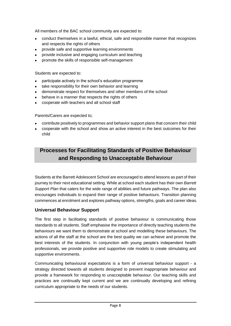All members of the BAC school community are expected to:

- conduct themselves in a lawful, ethical, safe and responsible manner that recognizes and respects the rights of others
- provide safe and supportive learning environments
- provide inclusive and engaging curriculum and teaching
- promote the skills of responsible self-management

Students are expected to:

- participate actively in the school's education programme
- take responsibility for their own behavior and learning
- demonstrate respect for themselves and other members of the school
- behave in a manner that respects the rights of others
- cooperate with teachers and all school staff

Parents/Carers are expected to;

- contribute positively to programmes and behavior support plans that concern their child
- cooperate with the school and show an active interest in the best outcomes for their child

# **Processes for Facilitating Standards of Positive Behaviour and Responding to Unacceptable Behaviour**

Students at the Barrett Adolescent School are encouraged to attend lessons as part of their journey to their next educational setting. While at school each student has their own *Barrett Support Plan* that caters for the wide range of abilities and future pathways. The plan also encourages individuals to expand their range of positive behaviours. Transition planning commences at enrolment and explores pathway options, strengths, goals and career ideas.

### **Universal Behaviour Support**

The first step in facilitating standards of positive behaviour is communicating those standards to all students. Staff emphasise the importance of directly teaching students the behaviours we want them to demonstrate at school and modelling these behaviours. The actions of all the staff at the school are the best quality we can achieve and promote the best interests of the students. In conjunction with young people's independent health professionals, we provide positive and supportive role models to create stimulating and supportive environments.

Communicating behavioural expectations is a form of universal behaviour support - a strategy directed towards all students designed to prevent inappropriate behaviour and provide a framework for responding to unacceptable behaviour. Our teaching skills and practices are continually kept current and we are continually developing and refining curriculum appropriate to the needs of our students.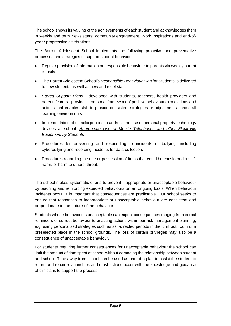The school shows its valuing of the achievements of each student and acknowledges them in weekly and term Newsletters, community engagement, Work Inspirations and end-ofyear / progressive celebrations.

The Barrett Adolescent School implements the following proactive and preventative processes and strategies to support student behaviour:

- Regular provision of information on responsible behaviour to parents via weekly parent e-mails.
- The Barrett Adolescent School's *Responsible Behaviour Plan* for Students is delivered to new students as well as new and relief staff.
- *Barrett Support Plans* developed with students, teachers, health providers and parents/carers - provides a personal framework of positive behaviour expectations and actions that enables staff to provide consistent strategies or adjustments across all learning environments.
- Implementation of specific policies to address the use of personal property technology devices at school: *[Appropriate Use of Mobile Telephones and other Electronic](http://ppr.det.qld.gov.au/education/learning/Pages/Appropriate-Use-of-Mobile-Telephones-and-other-Electronic-Equipment-by-Students.aspx)  [Equipment by Students](http://ppr.det.qld.gov.au/education/learning/Pages/Appropriate-Use-of-Mobile-Telephones-and-other-Electronic-Equipment-by-Students.aspx)*
- Procedures for preventing and responding to incidents of bullying, including cyberbullying and recording incidents for data collection.
- Procedures regarding the use or possession of items that could be considered a selfharm, or harm to others, threat.

The school makes systematic efforts to prevent inappropriate or unacceptable behaviour by teaching and reinforcing expected behaviours on an ongoing basis. When behaviour incidents occur, it is important that consequences are predictable. Our school seeks to ensure that responses to inappropriate or unacceptable behaviour are consistent and proportionate to the nature of the behaviour.

Students whose behaviour is unacceptable can expect consequences ranging from verbal reminders of correct behaviour to enacting actions within our risk management planning, e.g. using personalised strategies such as self-directed periods in the 'chill out' room or a preselected place in the school grounds. The loss of certain privileges may also be a consequence of unacceptable behaviour.

For students requiring further consequences for unacceptable behaviour the school can limit the amount of time spent at school without damaging the relationship between student and school. Time away from school can be used as part of a plan to assist the student to return and repair relationships and most actions occur with the knowledge and guidance of clinicians to support the process.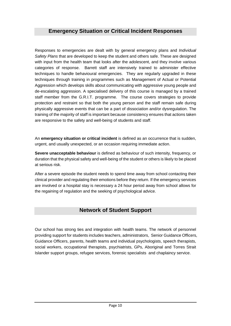### **Emergency Situation or Critical Incident Responses**

Responses to emergencies are dealt with by general emergency plans and *Individual Safety Plans* that are developed to keep the student and others safe. These are designed with input from the health team that looks after the adolescent, and they involve various categories of response. Barrett staff are intensively trained to administer effective techniques to handle behavioural emergencies. They are regularly upgraded in these techniques through training in programmes such as Management of Actual or Potential Aggression which develops skills about communicating with aggressive young people and de-escalating aggression. A specialised delivery of this course is managed by a trained staff member from the G.R.I.T. programme. The course covers strategies to provide protection and restraint so that both the young person and the staff remain safe during physically aggressive events that can be a part of dissociation and/or dysregulation. The training of the majority of staff is important because consistency ensures that actions taken are responsive to the safety and well-being of students and staff.

An **emergency situation or critical incident** is defined as an occurrence that is sudden, urgent, and usually unexpected, or an occasion requiring immediate action.

**Severe unacceptable behaviour** is defined as behaviour of such intensity, frequency, or duration that the physical safety and well-being of the student or others is likely to be placed at serious risk.

After a severe episode the student needs to spend time away from school contacting their clinical provider and regulating their emotions before they return. If the emergency services are involved or a hospital stay is necessary a 24 hour period away from school allows for the regaining of regulation and the seeking of psychological advice.

## **Network of Student Support**

Our school has strong ties and integration with health teams. The network of personnel providing support for students includes teachers, administrators, Senior Guidance Officers, Guidance Officers, parents, health teams and individual psychologists, speech therapists, social workers, occupational therapists, psychiatrists, GPs, Aboriginal and Torres Strait Islander support groups, refugee services, forensic specialists and chaplaincy service.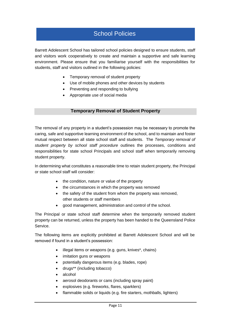# School Policies

Barrett Adolescent School has tailored school policies designed to ensure students, staff and visitors work cooperatively to create and maintain a supportive and safe learning environment. Please ensure that you familiarise yourself with the responsibilities for students, staff and visitors outlined in the following policies:

- Temporary removal of student property
- Use of mobile phones and other devices by students
- Preventing and responding to bullying
- Appropriate use of social media

#### **Temporary Removal of Student Property**

The removal of any property in a student's possession may be necessary to promote the caring, safe and supportive learning environment of the school, and to maintain and foster mutual respect between all state school staff and students. The *Temporary removal of student property by school staff procedure* outlines the processes, conditions and responsibilities for state school Principals and school staff when temporarily removing student property.

In determining what constitutes a reasonable time to retain student property, the Principal or state school staff will consider:

- the condition, nature or value of the property
- the circumstances in which the property was removed
- the safety of the student from whom the property was removed, other students or staff members
- good management, administration and control of the school.

The Principal or state school staff determine when the temporarily removed student property can be returned, unless the property has been handed to the Queensland Police Service.

The following items are explicitly prohibited at Barrett Adolescent School and will be removed if found in a student's possession:

- illegal items or weapons (e.g. guns, knives\*, chains)
- imitation guns or weapons
- potentially dangerous items (e.g. blades, rope)
- drugs\*\* (including tobacco)
- alcohol
- aerosol deodorants or cans (including spray paint)
- explosives (e.g. fireworks, flares, sparklers)
- flammable solids or liquids (e.g. fire starters, mothballs, lighters)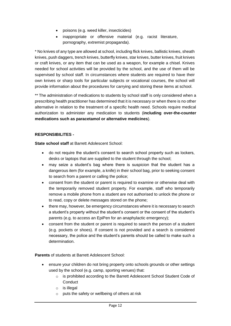- poisons (e.g. weed killer, insecticides)
- inappropriate or offensive material (e.g. racist literature, pornography, extremist propaganda).

\* No knives of any type are allowed at school, including flick knives, ballistic knives, sheath knives, push daggers, trench knives, butterfly knives, star knives, butter knives, fruit knives or craft knives, or any item that can be used as a weapon, for example a chisel. Knives needed for school activities will be provided by the school, and the use of them will be supervised by school staff. In circumstances where students are required to have their own knives or sharp tools for particular subjects or vocational courses, the school will provide information about the procedures for carrying and storing these items at school.

\*\* The administration of medications to students by school staff is only considered when a prescribing health practitioner has determined that it is necessary or when there is no other alternative in relation to the treatment of a specific health need. Schools require medical authorization to administer any medication to students (**including over-the-counter medications such as paracetamol or alternative medicines**).

#### **RESPONSIBILITES -**

**State school staff** at Barrett Adolescent School:

- do not require the student's consent to search school property such as lockers, desks or laptops that are supplied to the student through the school;
- may seize a student's bag where there is suspicion that the student has a dangerous item (for example, a knife) in their school bag, prior to seeking consent to search from a parent or calling the police;
- consent from the student or parent is required to examine or otherwise deal with the temporarily removed student property. For example, staff who temporarily remove a mobile phone from a student are not authorised to unlock the phone or to read, copy or delete messages stored on the phone;
- there may, however, be emergency circumstances where it is necessary to search a student's property without the student's consent or the consent of the student's parents (e.g. to access an EpiPen for an anaphylactic emergency);
- consent from the student or parent is required to search the person of a student (e.g. pockets or shoes). If consent is not provided and a search is considered necessary, the police and the student's parents should be called to make such a determination.

**Parents** of students at Barrett Adolescent School:

- ensure your children do not bring property onto schools grounds or other settings used by the school (e.g. camp, sporting venues) that:
	- o is prohibited according to the Barrett Adolescent School Student Code of **Conduct**
	- o is illegal
	- o puts the safety or wellbeing of others at risk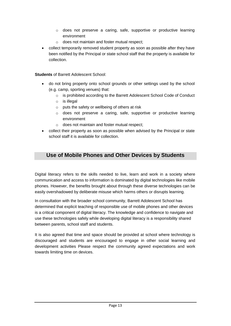- $\circ$  does not preserve a caring, safe, supportive or productive learning environment
- o does not maintain and foster mutual respect;
- collect temporarily removed student property as soon as possible after they have been notified by the Principal or state school staff that the property is available for collection.

#### **Students** of Barrett Adolescent School:

- do not bring property onto school grounds or other settings used by the school (e.g. camp, sporting venues) that:
	- o is prohibited according to the Barrett Adolescent School Code of Conduct
	- o is illegal
	- o puts the safety or wellbeing of others at risk
	- $\circ$  does not preserve a caring, safe, supportive or productive learning environment
	- o does not maintain and foster mutual respect;
- collect their property as soon as possible when advised by the Principal or state school staff it is available for collection.

### **Use of Mobile Phones and Other Devices by Students**

Digital literacy refers to the skills needed to live, learn and work in a society where communication and access to information is dominated by digital technologies like mobile phones. However, the benefits brought about through these diverse technologies can be easily overshadowed by deliberate misuse which harms others or disrupts learning.

In consultation with the broader school community, Barrett Adolescent School has determined that explicit teaching of responsible use of mobile phones and other devices is a critical component of digital literacy. The knowledge and confidence to navigate and use these technologies safely while developing digital literacy is a responsibility shared between parents, school staff and students.

It is also agreed that time and space should be provided at school where technology is discouraged and students are encouraged to engage in other social learning and development activities Please respect the community agreed expectations and work towards limiting time on devices.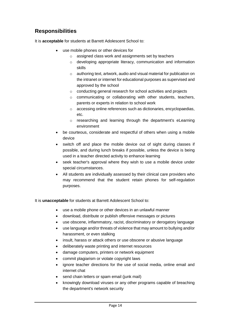# **Responsibilities**

It is **acceptable** for students at Barrett Adolescent School to:

- use mobile phones or other devices for
	- o assigned class work and assignments set by teachers
	- o developing appropriate literacy, communication and information skills
	- o authoring text, artwork, audio and visual material for publication on the intranet or internet for educational purposes as supervised and approved by the school
	- o conducting general research for school activities and projects
	- o communicating or collaborating with other students, teachers, parents or experts in relation to school work
	- o accessing online references such as dictionaries, encyclopaedias, etc.
	- o researching and learning through the department's eLearning environment
- be courteous, considerate and respectful of others when using a mobile device
- switch off and place the mobile device out of sight during classes if possible, and during lunch breaks if possible, unless the device is being used in a teacher directed activity to enhance learning
- seek teacher's approval where they wish to use a mobile device under special circumstances.
- All students are individually assessed by their clinical care providers who may recommend that the student retain phones for self-regulation purposes.

It is **unacceptable** for students at Barrett Adolescent School to:

- use a mobile phone or other devices in an unlawful manner
- download, distribute or publish offensive messages or pictures
- use obscene, inflammatory, racist, discriminatory or derogatory language
- use language and/or threats of violence that may amount to bullying and/or harassment, or even stalking
- insult, harass or attack others or use obscene or abusive language
- deliberately waste printing and internet resources
- damage computers, printers or network equipment
- commit plagiarism or violate copyright laws
- ignore teacher directions for the use of social media, online email and internet chat
- send chain letters or spam email (junk mail)
- knowingly download viruses or any other programs capable of breaching the department's network security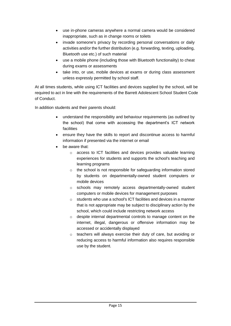- use in-phone cameras anywhere a normal camera would be considered inappropriate, such as in change rooms or toilets
- invade someone's privacy by recording personal conversations or daily activities and/or the further distribution (e.g. forwarding, texting, uploading, Bluetooth use etc.) of such material
- use a mobile phone (including those with Bluetooth functionality) to cheat during exams or assessments
- take into, or use, mobile devices at exams or during class assessment unless expressly permitted by school staff.

At all times students, while using ICT facilities and devices supplied by the school, will be required to act in line with the requirements of the Barrett Adolescent School Student Code of Conduct.

In addition students and their parents should:

- understand the responsibility and behaviour requirements (as outlined by the school) that come with accessing the department's ICT network facilities
- ensure they have the skills to report and discontinue access to harmful information if presented via the internet or email
- be aware that:
	- o access to ICT facilities and devices provides valuable learning experiences for students and supports the school's teaching and learning programs
	- o the school is not responsible for safeguarding information stored by students on departmentally-owned student computers or mobile devices
	- o schools may remotely access departmentally-owned student computers or mobile devices for management purposes
	- o students who use a school's ICT facilities and devices in a manner that is not appropriate may be subject to disciplinary action by the school, which could include restricting network access
	- o despite internal departmental controls to manage content on the internet, illegal, dangerous or offensive information may be accessed or accidentally displayed
	- o teachers will always exercise their duty of care, but avoiding or reducing access to harmful information also requires responsible use by the student.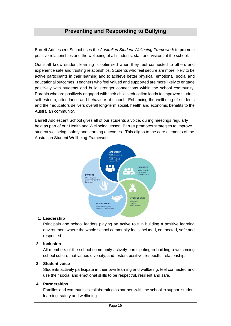### **Preventing and Responding to Bullying**

Barrett Adolescent School uses the *[Australian Student Wellbeing Framework](https://studentwellbeinghub.edu.au/resources/detail?id=dd6b5222-d5c5-6d32-997d-ff0000a69c30)* to promote positive relationships and the wellbeing of all students, staff and visitors at the school.

Our staff know student learning is optimised when they feel connected to others and experience safe and trusting relationships. Students who feel secure are more likely to be active participants in their learning and to achieve better physical, emotional, social and educational outcomes. Teachers who feel valued and supported are more likely to engage positively with students and build stronger connections within the school community. Parents who are positively engaged with their child's education leads to improved student self-esteem, attendance and behaviour at school. Enhancing the wellbeing of students and their educators delivers overall long-term social, health and economic benefits to the Australian community.

Barrett Adolescent School gives all of our students a voice, during meetings regularly held as part of our Health and Wellbeing lesson. Barrett promotes strategies to improve student wellbeing, safety and learning outcomes. This aligns to the core elements of the Australian Student Wellbeing Framework:



#### **1. Leadership**

Principals and school leaders playing an active role in building a positive learning environment where the whole school community feels included, connected, safe and respected.

#### **2. Inclusion**

All members of the school community actively participating in building a welcoming school culture that values diversity, and fosters positive, respectful relationships.

#### **3. Student voice**

Students actively participate in their own learning and wellbeing, feel connected and use their social and emotional skills to be respectful, resilient and safe.

#### **4. Partnerships**

Families and communities collaborating as partners with the school to support student learning, safety and wellbeing.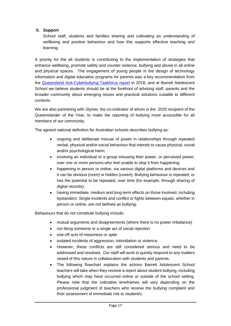#### **5. Support**

School staff, students and families sharing and cultivating an understanding of wellbeing and positive behaviour and how this supports effective teaching and learning.

A priority for the all students is contributing to the implementation of strategies that enhance wellbeing, promote safety and counter violence, bullying and abuse in all online and physical spaces. The engagement of young people in the design of technology information and digital education programs for parents was a key recommendation from the [Queensland Anti-Cyberbullying Taskforce report](https://campaigns.premiers.qld.gov.au/antibullying/taskforce/) in 2018, and at Barrett Adolescent School we believe students should be at the forefront of advising staff, parents and the broader community about emerging issues and practical solutions suitable to different contexts.

We are also partnering with *Stymie,* the co-ordinator of whom is the 2020 recipient of the Queenslander of the Year, to make the reporting of bullying more accessible for all members of our community.

The agreed national definition for Australian schools describes bullying as:

- ongoing and deliberate misuse of power in relationships through repeated verbal, physical and/or social behaviour that intends to cause physical, social and/or psychological harm;
- involving an individual or a group misusing their power, or perceived power, over one or more persons who feel unable to stop it from happening;
- happening in person or online, via various digital platforms and devices and it can be obvious (overt) or hidden (covert). Bullying behaviour is repeated, or has the potential to be repeated, over time (for example, through sharing of digital records);
- having immediate, medium and long-term effects on those involved, including bystanders. Single incidents and conflict or fights between equals, whether in person or online, are not defined as bullying.

Behaviours that do not constitute bullying include:

- mutual arguments and disagreements (where there is no power imbalance)
- not liking someone or a single act of social rejection
- one-off acts of meanness or spite
- isolated incidents of aggression, intimidation or violence.
- However, these conflicts are still considered serious and need to be addressed and resolved. Our staff will work to quickly respond to any matters raised of this nature in collaboration with students and parents.
- The following flowchart explains the actions Barrett Adolescent School teachers will take when they receive a report about student bullying, including bullying which may have occurred online or outside of the school setting. Please note that the indicative timeframes will vary depending on the professional judgment of teachers who receive the bullying complaint and their assessment of immediate risk to student/s.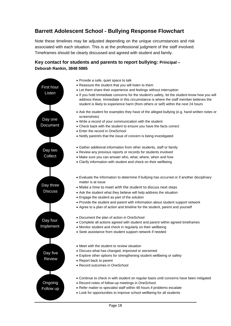# **Barrett Adolescent School - Bullying Response Flowchart**

Note these timelines may be adjusted depending on the unique circumstances and risk associated with each situation. This is at the professional judgment of the staff involved. Timeframes should be clearly discussed and agreed with student and family.

### **Key contact for students and parents to report bullying: Principal – Deborah Rankin, 3848 5985**

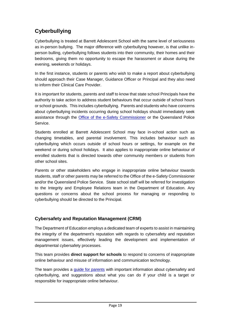# **Cyberbullying**

Cyberbullying is treated at Barrett Adolescent School with the same level of seriousness as in-person bullying. The major difference with cyberbullying however, is that unlike inperson bulling, cyberbullying follows students into their community, their homes and their bedrooms, giving them no opportunity to escape the harassment or abuse during the evening, weekends or holidays.

In the first instance, students or parents who wish to make a report about cyberbullying should approach their Case Manager, Guidance Officer or Principal and they also need to inform their Clinical Care Provider.

It is important for students, parents and staff to know that state school Principals have the authority to take action to address student behaviours that occur outside of school hours or school grounds. This includes cyberbullying. Parents and students who have concerns about cyberbullying incidents occurring during school holidays should immediately seek assistance through the [Office of the e-Safety Commissioner](https://www.esafety.gov.au/) or the Queensland Police Service.

Students enrolled at Barrett Adolescent School may face in-school action such as changing timetables, and parental involvement. This includes behaviour such as cyberbullying which occurs outside of school hours or settings, for example on the weekend or during school holidays. It also applies to inappropriate online behaviour of enrolled students that is directed towards other community members or students from other school sites.

Parents or other stakeholders who engage in inappropriate online behaviour towards students, staff or other parents may be referred to the Office of the e-Safety Commissioner and/or the Queensland Police Service. State school staff will be referred for investigation to the Integrity and Employee Relations team in the Department of Education. Any questions or concerns about the school process for managing or responding to cyberbullying should be directed to the Principal.

### **Cybersafety and Reputation Management (CRM)**

The Department of Education employs a dedicated team of experts to assist in maintaining the integrity of the department's reputation with regards to cybersafety and reputation management issues, effectively leading the development and implementation of departmental cybersafety processes.

This team provides **direct support for schools** to respond to concerns of inappropriate online behaviour and misuse of information and communication technology.

The team provides a [guide for parents](http://behaviour.education.qld.gov.au/SiteCollectionDocuments/cybersafety/cyberbullying-cybersafetyprintfriendlyguide.pdf) with important information about cybersafety and cyberbullying, and suggestions about what you can do if your child is a target or responsible for inappropriate online behaviour.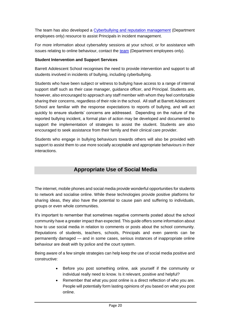The team has also developed a [Cyberbullying and reputation management](http://behaviour.education.qld.gov.au/SiteCollectionDocuments/cybersafety/cyberbullying-reputation-management-guidelines.pdf) (Department employees only) resource to assist Principals in incident management.

For more information about cybersafety sessions at your school, or for assistance with issues relating to online behaviour, contact the [team](https://intranet.qed.qld.gov.au/EducationDelivery/educationandict/cybersafetyandReputationmanagement) (Department employees only).

#### **Student Intervention and Support Services**

Barrett Adolescent School recognises the need to provide intervention and support to all students involved in incidents of bullying, including cyberbullying.

Students who have been subject or witness to bullying have access to a range of internal support staff such as their case manager, guidance officer, and Principal. Students are, however, also encouraged to approach any staff member with whom they feel comfortable sharing their concerns, regardless of their role in the school. All staff at Barrett Adolescent School are familiar with the response expectations to reports of bullying, and will act quickly to ensure students' concerns are addressed. Depending on the nature of the reported bullying incident, a formal plan of action may be developed and documented to support the implementation of strategies to assist the student. Students are also encouraged to seek assistance from their family and their clinical care provider.

Students who engage in bullying behaviours towards others will also be provided with support to assist them to use more socially acceptable and appropriate behaviours in their interactions.

### **Appropriate Use of Social Media**

The internet, mobile phones and social media provide wonderful opportunities for students to network and socialise online. While these technologies provide positive platforms for sharing ideas, they also have the potential to cause pain and suffering to individuals, groups or even whole communities.

It's important to remember that sometimes negative comments posted about the school community have a greater impact than expected. This guide offers some information about how to use social media in relation to comments or posts about the school community. Reputations of students, teachers, schools, Principals and even parents can be permanently damaged — and in some cases, serious instances of inappropriate online behaviour are dealt with by police and the court system.

Being aware of a few simple strategies can help keep the use of social media positive and constructive:

- Before you post something online, ask yourself if the community or individual really need to know. Is it relevant, positive and helpful?
- Remember that what you post online is a direct reflection of who you are. People will potentially form lasting opinions of you based on what you post online.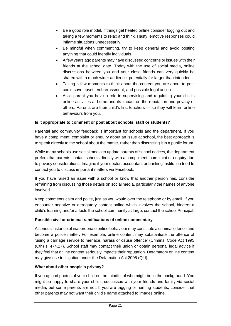- Be a good role model. If things get heated online consider logging out and taking a few moments to relax and think. Hasty, emotive responses could inflame situations unnecessarily.
- Be mindful when commenting, try to keep general and avoid posting anything that could identify individuals.
- A few years ago parents may have discussed concerns or issues with their friends at the school gate. Today with the use of social media, online discussions between you and your close friends can very quickly be shared with a much wider audience, potentially far larger than intended.
- Taking a few moments to think about the content you are about to post could save upset, embarrassment, and possible legal action.
- As a parent you have a role in supervising and regulating your child's online activities at home and its impact on the reputation and privacy of others. Parents are their child's first teachers — so they will learn online behaviours from you.

#### **Is it appropriate to comment or post about schools, staff or students?**

Parental and community feedback is important for schools and the department. If you have a compliment, complaint or enquiry about an issue at school, the best approach is to speak directly to the school about the matter, rather than discussing it in a public forum.

While many schools use social media to update parents of school notices, the department prefers that parents contact schools directly with a compliment, complaint or enquiry due to privacy considerations. Imagine if your doctor, accountant or banking institution tried to contact you to discuss important matters via Facebook.

If you have raised an issue with a school or know that another person has, consider refraining from discussing those details on social media, particularly the names of anyone involved.

Keep comments calm and polite, just as you would over the telephone or by email. If you encounter negative or derogatory content online which involves the school, hinders a child's learning and/or affects the school community at large, contact the school Principal.

#### **Possible civil or criminal ramifications of online commentary**

A serious instance of inappropriate online behaviour may constitute a criminal offence and become a police matter. For example, online content may substantiate the offence of 'using a carriage service to menace, harass or cause offence' (Criminal Code Act 1995 (Cth) s. 474.17). School staff may contact their union or obtain personal legal advice if they feel that online content seriously impacts their reputation. Defamatory online content may give rise to litigation under the Defamation Act 2005 (Qld).

### **What about other people's privacy?**

If you upload photos of your children, be mindful of who might be in the background. You might be happy to share your child's successes with your friends and family via social media, but some parents are not. If you are tagging or naming students, consider that other parents may not want their child's name attached to images online.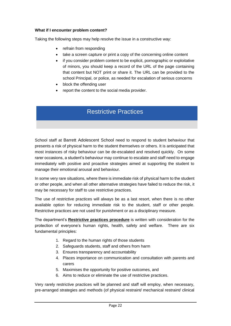#### **What if I encounter problem content?**

Taking the following steps may help resolve the issue in a constructive way:

- refrain from responding
- take a screen capture or print a copy of the concerning online content
- if you consider problem content to be explicit, pornographic or exploitative of minors, you should keep a record of the URL of the page containing that content but NOT print or share it. The URL can be provided to the school Principal, or police, as needed for escalation of serious concerns
- block the offending user
- report the content to the social media provider.

# Restrictive Practices

School staff at Barrett Adolescent School need to respond to student behaviour that presents a risk of physical harm to the student themselves or others. It is anticipated that most instances of risky behaviour can be de-escalated and resolved quickly. On some rarer occasions, a student's behaviour may continue to escalate and staff need to engage immediately with positive and proactive strategies aimed at supporting the student to manage their emotional arousal and behaviour.

In some very rare situations, where there is immediate risk of physical harm to the student or other people, and when all other alternative strategies have failed to reduce the risk, it may be necessary for staff to use restrictive practices.

The use of restrictive practices will always be as a last resort, when there is no other available option for reducing immediate risk to the student, staff or other people. Restrictive practices are not used for punishment or as a disciplinary measure.

The department's **Restrictive practices procedure** is written with consideration for the protection of everyone's human rights, health, safety and welfare. There are six fundamental principles:

- 1. Regard to the human rights of those students
- 2. Safeguards students, staff and others from harm
- 3. Ensures transparency and accountability
- 4. Places importance on communication and consultation with parents and carers
- 5. Maximises the opportunity for positive outcomes, and
- 6. Aims to reduce or eliminate the use of restrictive practices.

Very rarely restrictive practices will be planned and staff will employ, when necessary, pre-arranged strategies and methods (of physical restraint/ mechanical restraint/ clinical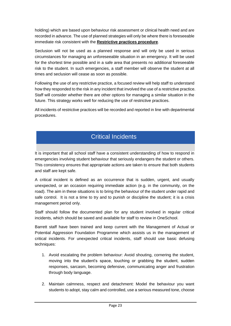holding) which are based upon behaviour risk assessment or clinical health need and are recorded in advance. The use of planned strategies will only be where there is foreseeable immediate risk consistent with the **Restrictive practices procedure**.

Seclusion will not be used as a planned response and will only be used in serious circumstances for managing an unforeseeable situation in an emergency. It will be used for the shortest time possible and in a safe area that presents no additional foreseeable risk to the student. In such emergencies, a staff member will observe the student at all times and seclusion will cease as soon as possible.

Following the use of any restrictive practice, a focused review will help staff to understand how they responded to the risk in any incident that involved the use of a restrictive practice. Staff will consider whether there are other options for managing a similar situation in the future. This strategy works well for reducing the use of restrictive practices.

All incidents of restrictive practices will be recorded and reported in line with departmental procedures.

# Critical Incidents

It is important that all school staff have a consistent understanding of how to respond in emergencies involving student behaviour that seriously endangers the student or others. This consistency ensures that appropriate actions are taken to ensure that both students and staff are kept safe.

A critical incident is defined as an occurrence that is sudden, urgent, and usually unexpected, or an occasion requiring immediate action (e.g. in the community, on the road). The aim in these situations is to bring the behaviour of the student under rapid and safe control. It is not a time to try and to punish or discipline the student; it is a crisis management period only.

Staff should follow the documented plan for any student involved in regular critical incidents, which should be saved and available for staff to review in OneSchool.

Barrett staff have been trained and keep current with the Management of Actual or Potential Aggression Foundation Programme which assists us in the management of critical incidents. For unexpected critical incidents, staff should use basic defusing techniques:

- 1. Avoid escalating the problem behaviour: Avoid shouting, cornering the student, moving into the student's space, touching or grabbing the student, sudden responses, sarcasm, becoming defensive, communicating anger and frustration through body language.
- 2. Maintain calmness, respect and detachment: Model the behaviour you want students to adopt, stay calm and controlled, use a serious measured tone, choose